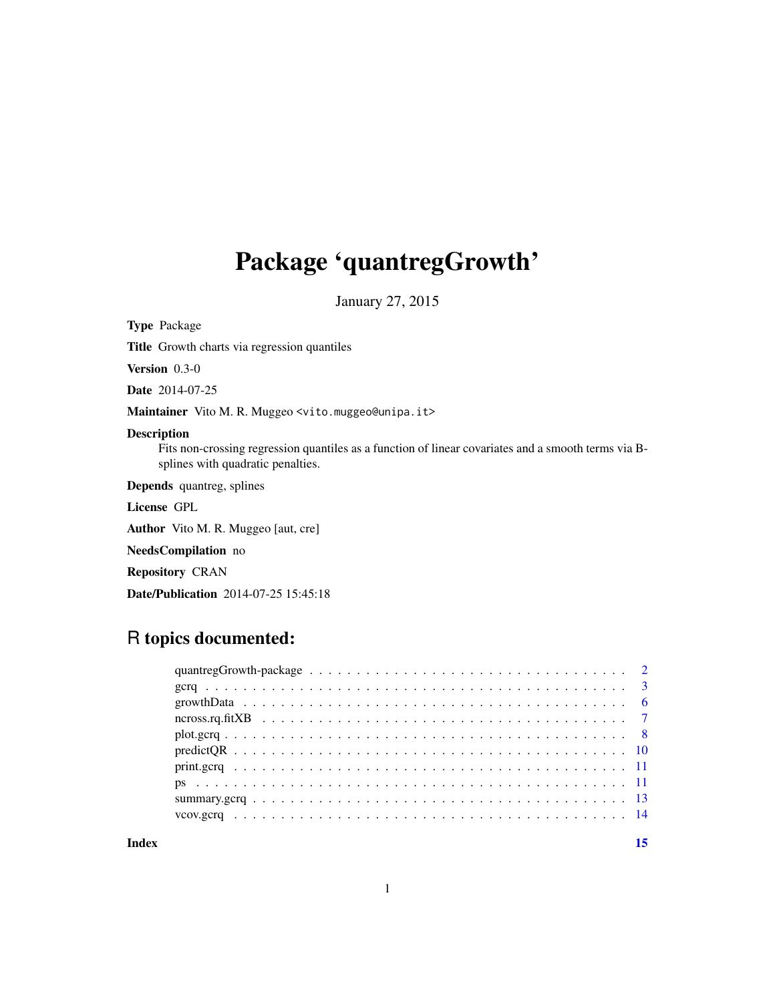## <span id="page-0-0"></span>Package 'quantregGrowth'

January 27, 2015

Type Package

Title Growth charts via regression quantiles

Version 0.3-0

Date 2014-07-25

Maintainer Vito M. R. Muggeo <vito.muggeo@unipa.it>

## Description

Fits non-crossing regression quantiles as a function of linear covariates and a smooth terms via Bsplines with quadratic penalties.

Depends quantreg, splines

License GPL

Author Vito M. R. Muggeo [aut, cre]

NeedsCompilation no

Repository CRAN

Date/Publication 2014-07-25 15:45:18

## R topics documented:

#### **Index** [15](#page-14-0)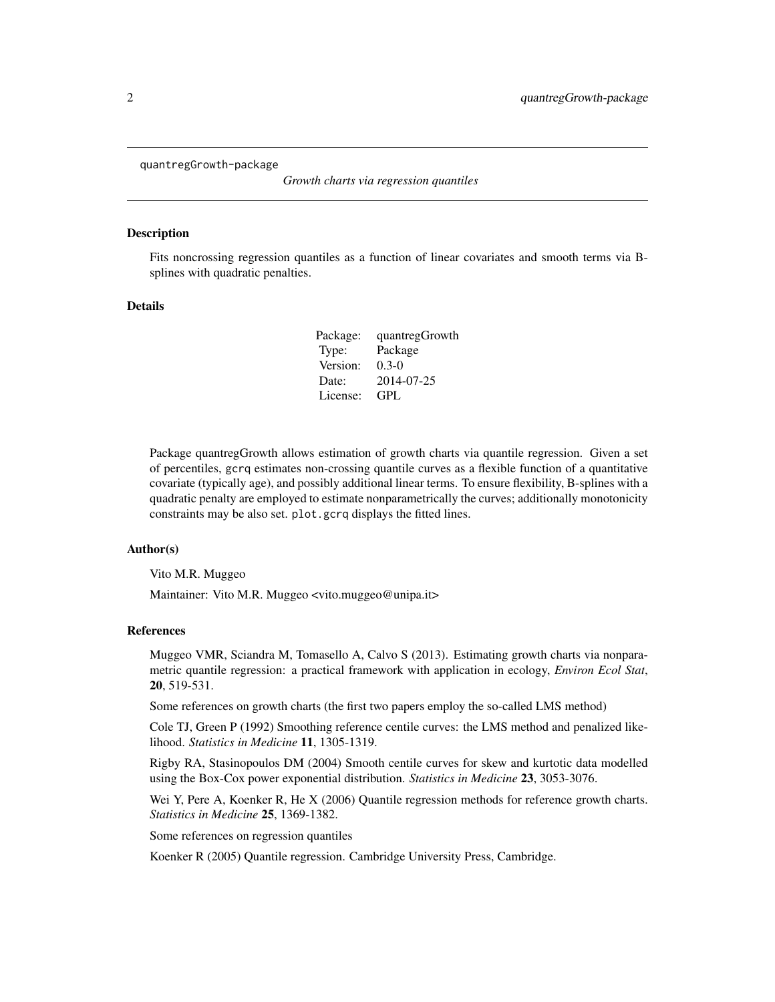<span id="page-1-0"></span>quantregGrowth-package

*Growth charts via regression quantiles*

#### Description

Fits noncrossing regression quantiles as a function of linear covariates and smooth terms via Bsplines with quadratic penalties.

## Details

| quantregGrowth |
|----------------|
| Package        |
| $0.3-0$        |
| 2014-07-25     |
| GPL            |
|                |

Package quantregGrowth allows estimation of growth charts via quantile regression. Given a set of percentiles, gcrq estimates non-crossing quantile curves as a flexible function of a quantitative covariate (typically age), and possibly additional linear terms. To ensure flexibility, B-splines with a quadratic penalty are employed to estimate nonparametrically the curves; additionally monotonicity constraints may be also set. plot.gcrq displays the fitted lines.

#### Author(s)

Vito M.R. Muggeo

Maintainer: Vito M.R. Muggeo <vito.muggeo@unipa.it>

#### References

Muggeo VMR, Sciandra M, Tomasello A, Calvo S (2013). Estimating growth charts via nonparametric quantile regression: a practical framework with application in ecology, *Environ Ecol Stat*, 20, 519-531.

Some references on growth charts (the first two papers employ the so-called LMS method)

Cole TJ, Green P (1992) Smoothing reference centile curves: the LMS method and penalized likelihood. *Statistics in Medicine* 11, 1305-1319.

Rigby RA, Stasinopoulos DM (2004) Smooth centile curves for skew and kurtotic data modelled using the Box-Cox power exponential distribution. *Statistics in Medicine* 23, 3053-3076.

Wei Y, Pere A, Koenker R, He X (2006) Quantile regression methods for reference growth charts. *Statistics in Medicine* 25, 1369-1382.

Some references on regression quantiles

Koenker R (2005) Quantile regression. Cambridge University Press, Cambridge.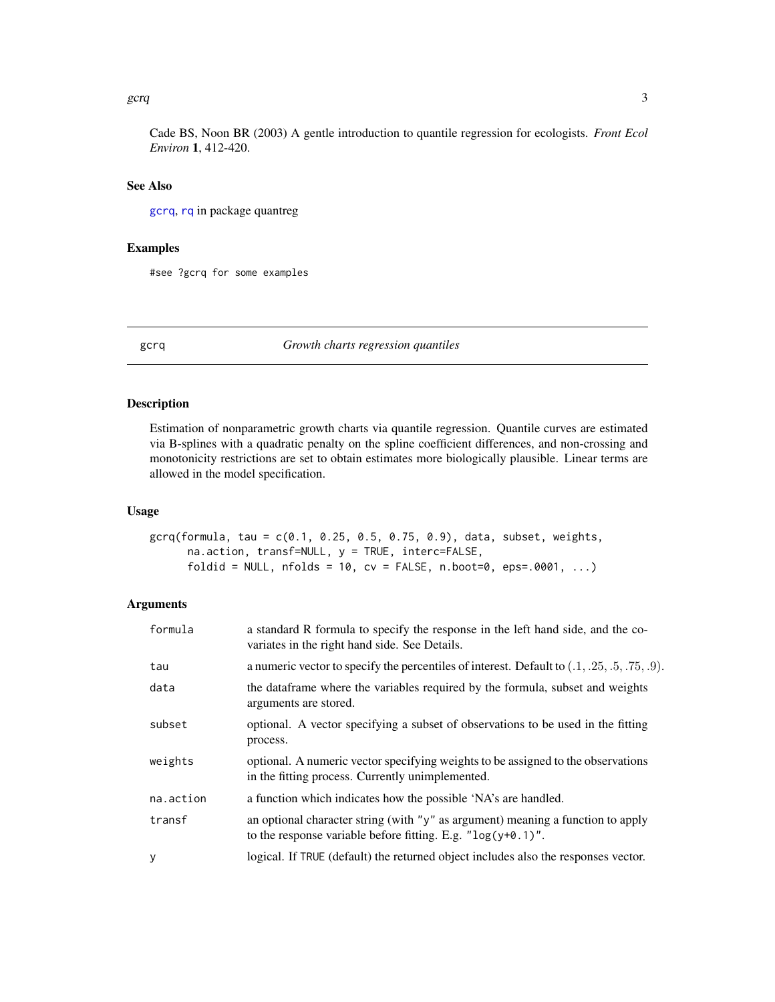#### <span id="page-2-0"></span> $\epsilon$  gcrq  $\epsilon$  3

## See Also

[gcrq](#page-2-1), [rq](#page-0-0) in package quantreg

## Examples

#see ?gcrq for some examples

<span id="page-2-1"></span>gcrq *Growth charts regression quantiles*

## Description

Estimation of nonparametric growth charts via quantile regression. Quantile curves are estimated via B-splines with a quadratic penalty on the spline coefficient differences, and non-crossing and monotonicity restrictions are set to obtain estimates more biologically plausible. Linear terms are allowed in the model specification.

#### Usage

```
gerq(formula, tau = c(0.1, 0.25, 0.5, 0.75, 0.9), data, subset, weights,na.action, transf=NULL, y = TRUE, interc=FALSE,
     foldid = NULL, nfolds = 10, cv = FALSE, n.boot=0, eps=.0001, ...
```
## Arguments

| formula   | a standard R formula to specify the response in the left hand side, and the co-<br>variates in the right hand side. See Details.                   |
|-----------|----------------------------------------------------------------------------------------------------------------------------------------------------|
| tau       | a numeric vector to specify the percentiles of interest. Default to $(0.1, 0.25, 0.5, 0.75, 0.9)$ .                                                |
| data      | the dataframe where the variables required by the formula, subset and weights<br>arguments are stored.                                             |
| subset    | optional. A vector specifying a subset of observations to be used in the fitting<br>process.                                                       |
| weights   | optional. A numeric vector specifying weights to be assigned to the observations<br>in the fitting process. Currently unimplemented.               |
| na.action | a function which indicates how the possible 'NA's are handled.                                                                                     |
| transf    | an optional character string (with "y" as argument) meaning a function to apply<br>to the response variable before fitting. E.g. " $log(y+0.1)$ ". |
| y         | logical. If TRUE (default) the returned object includes also the responses vector.                                                                 |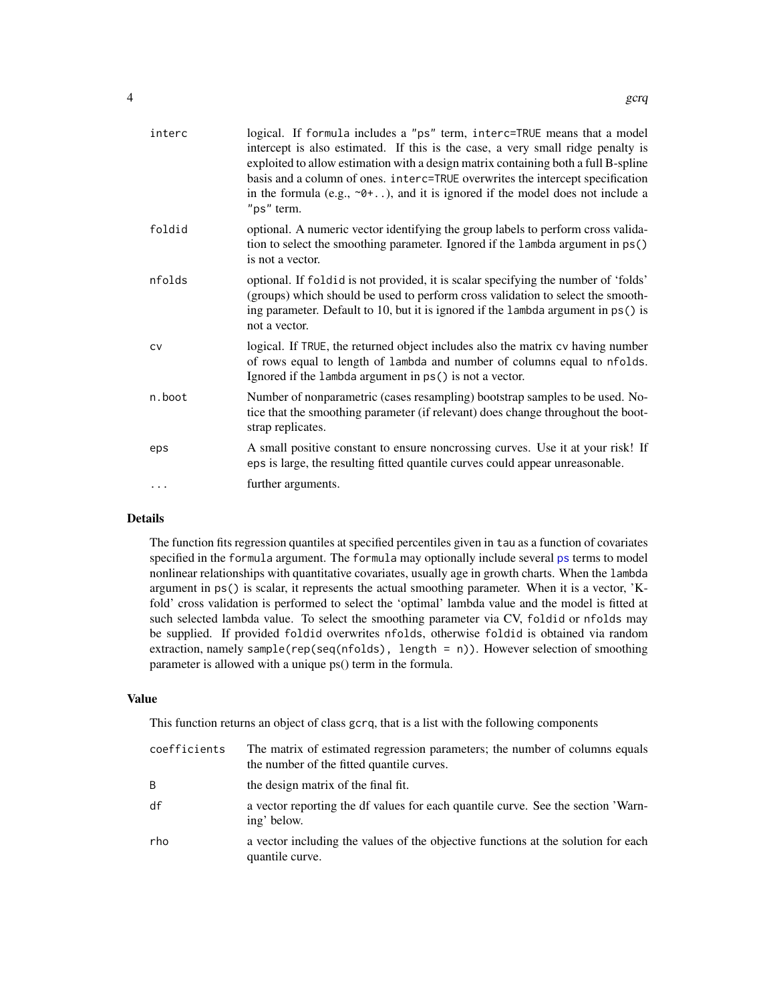<span id="page-3-0"></span>

| interc    | logical. If formula includes a "ps" term, interc=TRUE means that a model<br>intercept is also estimated. If this is the case, a very small ridge penalty is<br>exploited to allow estimation with a design matrix containing both a full B-spline<br>basis and a column of ones. interc=TRUE overwrites the intercept specification<br>in the formula (e.g., $\neg$ 0+), and it is ignored if the model does not include a<br>"ps" term. |
|-----------|------------------------------------------------------------------------------------------------------------------------------------------------------------------------------------------------------------------------------------------------------------------------------------------------------------------------------------------------------------------------------------------------------------------------------------------|
| foldid    | optional. A numeric vector identifying the group labels to perform cross valida-<br>tion to select the smoothing parameter. Ignored if the lambda argument in ps()<br>is not a vector.                                                                                                                                                                                                                                                   |
| nfolds    | optional. If foldid is not provided, it is scalar specifying the number of 'folds'<br>(groups) which should be used to perform cross validation to select the smooth-<br>ing parameter. Default to 10, but it is ignored if the lambda argument in ps() is<br>not a vector.                                                                                                                                                              |
| <b>CV</b> | logical. If TRUE, the returned object includes also the matrix cv having number<br>of rows equal to length of lambda and number of columns equal to nfolds.<br>Ignored if the lambda argument in ps() is not a vector.                                                                                                                                                                                                                   |
| n.boot    | Number of nonparametric (cases resampling) bootstrap samples to be used. No-<br>tice that the smoothing parameter (if relevant) does change throughout the boot-<br>strap replicates.                                                                                                                                                                                                                                                    |
| eps       | A small positive constant to ensure noncrossing curves. Use it at your risk! If<br>eps is large, the resulting fitted quantile curves could appear unreasonable.                                                                                                                                                                                                                                                                         |
|           | further arguments.                                                                                                                                                                                                                                                                                                                                                                                                                       |

## Details

The function fits regression quantiles at specified percentiles given in tau as a function of covariates specified in the formula argument. The formula may optionally include several [ps](#page-10-1) terms to model nonlinear relationships with quantitative covariates, usually age in growth charts. When the lambda argument in ps() is scalar, it represents the actual smoothing parameter. When it is a vector, 'Kfold' cross validation is performed to select the 'optimal' lambda value and the model is fitted at such selected lambda value. To select the smoothing parameter via CV, foldid or nfolds may be supplied. If provided foldid overwrites nfolds, otherwise foldid is obtained via random extraction, namely sample( $rep(seq(nfolds)$ , length = n)). However selection of smoothing parameter is allowed with a unique ps() term in the formula.

#### Value

This function returns an object of class gcrq, that is a list with the following components

| coefficients | The matrix of estimated regression parameters; the number of columns equals<br>the number of the fitted quantile curves. |
|--------------|--------------------------------------------------------------------------------------------------------------------------|
| B            | the design matrix of the final fit.                                                                                      |
| df           | a vector reporting the df values for each quantile curve. See the section 'Warn-<br>ing' below.                          |
| rho          | a vector including the values of the objective functions at the solution for each<br>quantile curve.                     |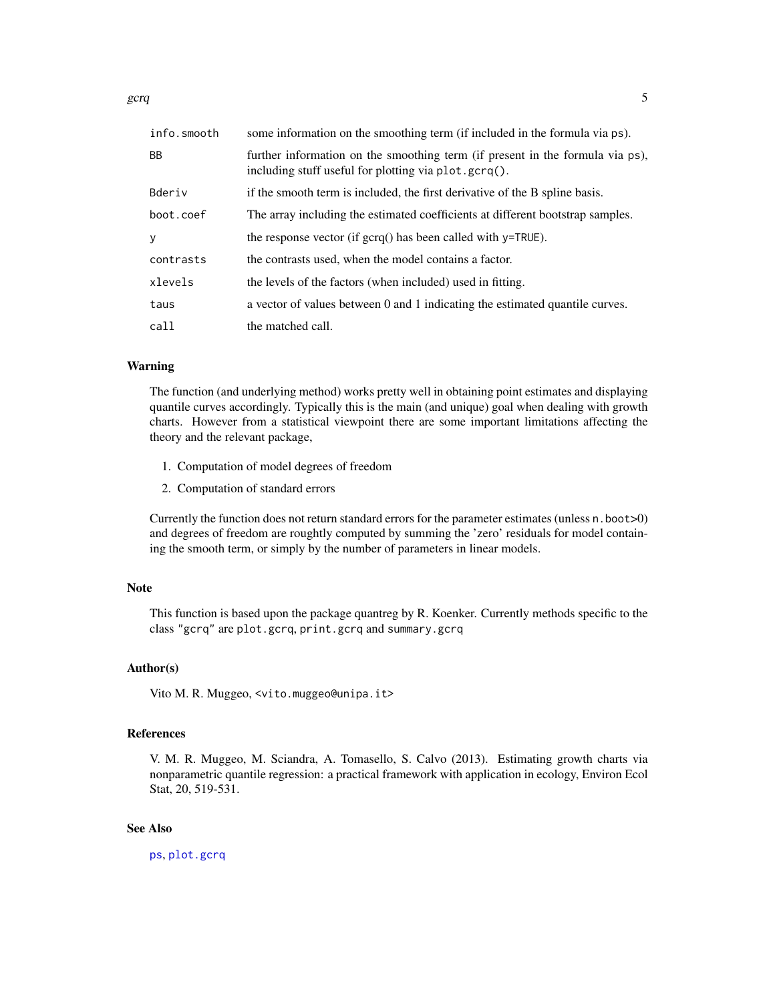<span id="page-4-0"></span> $\epsilon$  gcrq  $\epsilon$  5

| info.smooth | some information on the smoothing term (if included in the formula via ps).                                                           |
|-------------|---------------------------------------------------------------------------------------------------------------------------------------|
| <b>BB</b>   | further information on the smoothing term (if present in the formula via ps),<br>including stuff useful for plotting via plot.gcrq(). |
| Bderiv      | if the smooth term is included, the first derivative of the B spline basis.                                                           |
| boot.coef   | The array including the estimated coefficients at different bootstrap samples.                                                        |
| y           | the response vector (if $\text{gcrq}()$ has been called with $y = TRUE$ ).                                                            |
| contrasts   | the contrasts used, when the model contains a factor.                                                                                 |
| xlevels     | the levels of the factors (when included) used in fitting.                                                                            |
| taus        | a vector of values between 0 and 1 indicating the estimated quantile curves.                                                          |
| call        | the matched call.                                                                                                                     |

## Warning

The function (and underlying method) works pretty well in obtaining point estimates and displaying quantile curves accordingly. Typically this is the main (and unique) goal when dealing with growth charts. However from a statistical viewpoint there are some important limitations affecting the theory and the relevant package,

- 1. Computation of model degrees of freedom
- 2. Computation of standard errors

Currently the function does not return standard errors for the parameter estimates (unless n.boot>0) and degrees of freedom are roughtly computed by summing the 'zero' residuals for model containing the smooth term, or simply by the number of parameters in linear models.

#### Note

This function is based upon the package quantreg by R. Koenker. Currently methods specific to the class "gcrq" are plot.gcrq, print.gcrq and summary.gcrq

## Author(s)

Vito M. R. Muggeo, <vito.muggeo@unipa.it>

## References

V. M. R. Muggeo, M. Sciandra, A. Tomasello, S. Calvo (2013). Estimating growth charts via nonparametric quantile regression: a practical framework with application in ecology, Environ Ecol Stat, 20, 519-531.

## See Also

[ps](#page-10-1), [plot.gcrq](#page-7-1)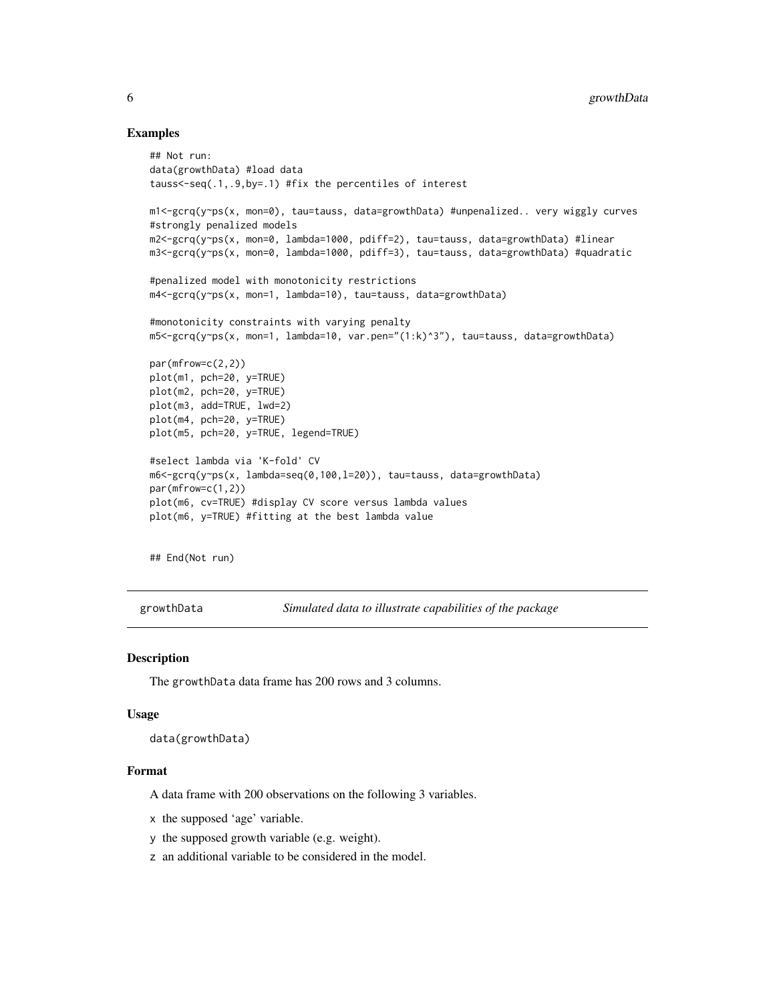#### Examples

```
## Not run:
data(growthData) #load data
tauss<-seq(.1,.9,by=.1) #fix the percentiles of interest
m1<-gcrq(y~ps(x, mon=0), tau=tauss, data=growthData) #unpenalized.. very wiggly curves
#strongly penalized models
m2<-gcrq(y~ps(x, mon=0, lambda=1000, pdiff=2), tau=tauss, data=growthData) #linear
m3<-gcrq(y~ps(x, mon=0, lambda=1000, pdiff=3), tau=tauss, data=growthData) #quadratic
#penalized model with monotonicity restrictions
m4<-gcrq(y~ps(x, mon=1, lambda=10), tau=tauss, data=growthData)
#monotonicity constraints with varying penalty
m5<-gcrq(y~ps(x, mon=1, lambda=10, var.pen="(1:k)^3"), tau=tauss, data=growthData)
par(mfrow=c(2,2))
plot(m1, pch=20, y=TRUE)
plot(m2, pch=20, y=TRUE)
plot(m3, add=TRUE, lwd=2)
plot(m4, pch=20, y=TRUE)
plot(m5, pch=20, y=TRUE, legend=TRUE)
#select lambda via 'K-fold' CV
m6<-gcrq(y~ps(x, lambda=seq(0,100,l=20)), tau=tauss, data=growthData)
par(mfrow=c(1,2))
plot(m6, cv=TRUE) #display CV score versus lambda values
plot(m6, y=TRUE) #fitting at the best lambda value
```
## End(Not run)

growthData *Simulated data to illustrate capabilities of the package*

#### Description

The growthData data frame has 200 rows and 3 columns.

#### Usage

```
data(growthData)
```
#### Format

A data frame with 200 observations on the following 3 variables.

x the supposed 'age' variable.

- y the supposed growth variable (e.g. weight).
- z an additional variable to be considered in the model.

<span id="page-5-0"></span>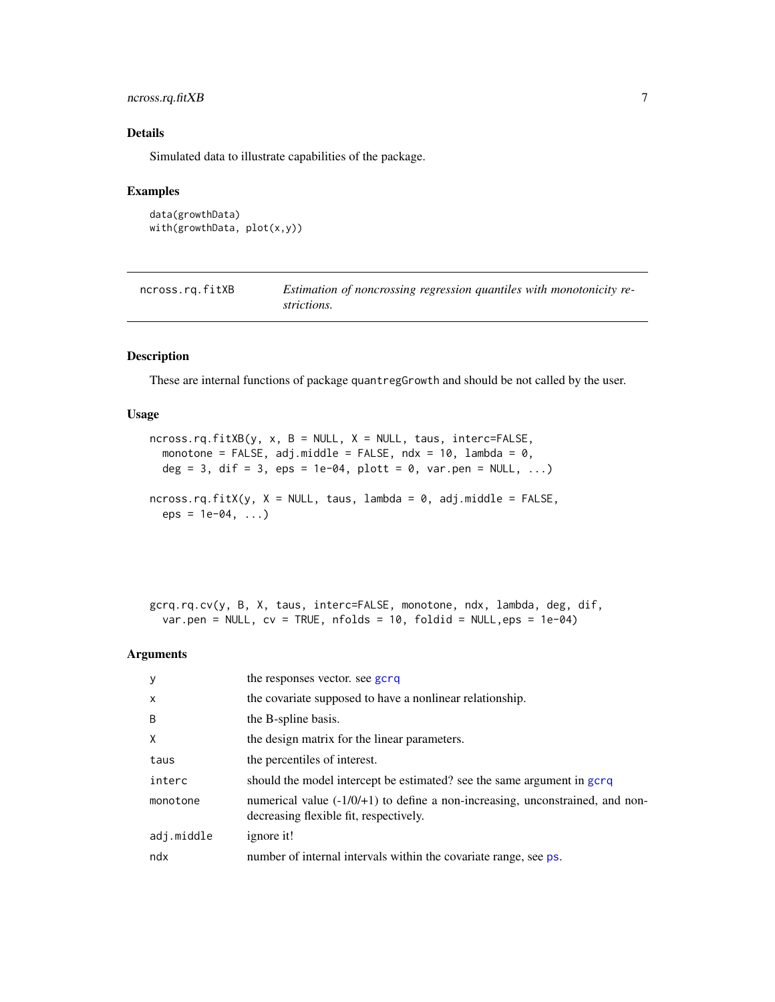## <span id="page-6-0"></span>ncross.rq.fitXB 7

## Details

Simulated data to illustrate capabilities of the package.

## Examples

```
data(growthData)
with(growthData, plot(x,y))
```

| ncross.rg.fitXB | Estimation of noncrossing regression quantiles with monotonicity re- |
|-----------------|----------------------------------------------------------------------|
|                 | strictions.                                                          |

## Description

These are internal functions of package quantregGrowth and should be not called by the user.

#### Usage

```
ncross.rq.fitXB(y, x, B = NULL, X = NULL, taus, interc=FALSE,
 monotone = FALSE, adj.middle = FALSE, ndx = 10, lambda = 0,
 deg = 3, dif = 3, eps = 1e-04, plott = 0, var.pen = NULL, ...)
ncross.rq.fitX(y, X = NULL, taus, lambda = 0, adj.middle = FALSE,eps = 1e-04, ...
```
gcrq.rq.cv(y, B, X, taus, interc=FALSE, monotone, ndx, lambda, deg, dif, var.pen = NULL,  $cv = TRUE$ , nfolds = 10, foldid = NULL, eps = 1e-04)

## Arguments

| y            | the responses vector, see gcrq                                                                                           |
|--------------|--------------------------------------------------------------------------------------------------------------------------|
| $\mathsf{x}$ | the covariate supposed to have a nonlinear relationship.                                                                 |
| B            | the B-spline basis.                                                                                                      |
| X            | the design matrix for the linear parameters.                                                                             |
| taus         | the percentiles of interest.                                                                                             |
| interc       | should the model intercept be estimated? see the same argument in gcrq                                                   |
| monotone     | numerical value $(-1/0/1)$ to define a non-increasing, unconstrained, and non-<br>decreasing flexible fit, respectively. |
| adj.middle   | ignore it!                                                                                                               |
| ndx          | number of internal intervals within the covariate range, see ps.                                                         |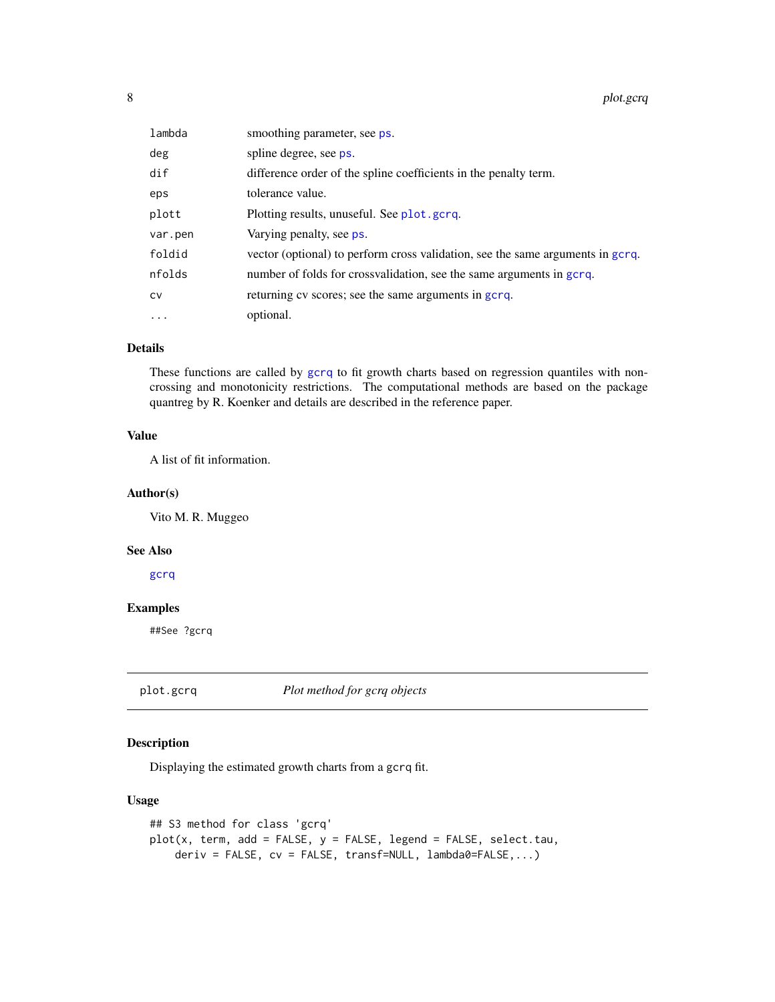<span id="page-7-0"></span>8 plot.gcrq

| lambda   | smoothing parameter, see ps.                                                   |
|----------|--------------------------------------------------------------------------------|
| deg      | spline degree, see ps.                                                         |
| dif      | difference order of the spline coefficients in the penalty term.               |
| eps      | tolerance value.                                                               |
| plott    | Plotting results, unuseful. See plot.gcrq.                                     |
| var.pen  | Varying penalty, see ps.                                                       |
| foldid   | vector (optional) to perform cross validation, see the same arguments in gcrq. |
| nfolds   | number of folds for crossvalidation, see the same arguments in gcrq.           |
| CV       | returning cv scores; see the same arguments in gcrq.                           |
| $\cdots$ | optional.                                                                      |

## Details

These functions are called by [gcrq](#page-2-1) to fit growth charts based on regression quantiles with noncrossing and monotonicity restrictions. The computational methods are based on the package quantreg by R. Koenker and details are described in the reference paper.

## Value

A list of fit information.

## Author(s)

Vito M. R. Muggeo

#### See Also

[gcrq](#page-2-1)

## Examples

##See ?gcrq

<span id="page-7-1"></span>plot.gcrq *Plot method for gcrq objects*

## Description

Displaying the estimated growth charts from a gcrq fit.

## Usage

```
## S3 method for class 'gcrq'
plot(x, term, add = FALSE, y = FALSE, legend = FALSE, select.tau,deriv = FALSE, cv = FALSE, transf=NULL, lambda0=FALSE,...)
```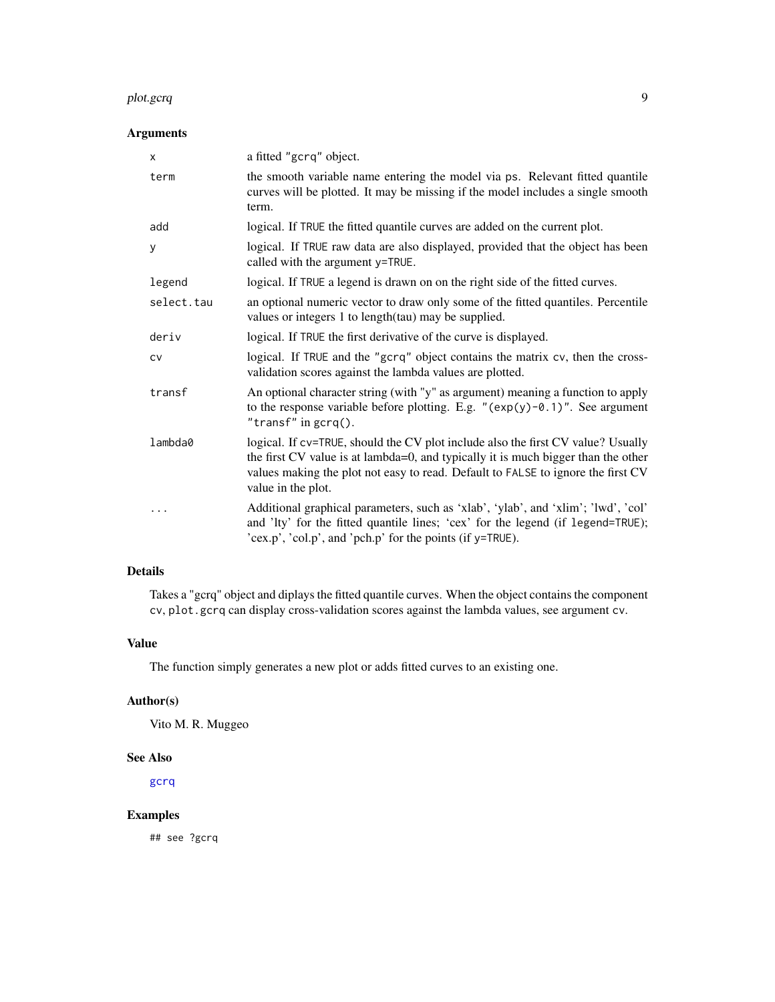#### plot.gcrq 9

## Arguments

| X          | a fitted "gcrq" object.                                                                                                                                                                                                                                                         |
|------------|---------------------------------------------------------------------------------------------------------------------------------------------------------------------------------------------------------------------------------------------------------------------------------|
| term       | the smooth variable name entering the model via ps. Relevant fitted quantile<br>curves will be plotted. It may be missing if the model includes a single smooth<br>term.                                                                                                        |
| add        | logical. If TRUE the fitted quantile curves are added on the current plot.                                                                                                                                                                                                      |
| У          | logical. If TRUE raw data are also displayed, provided that the object has been<br>called with the argument y=TRUE.                                                                                                                                                             |
| legend     | logical. If TRUE a legend is drawn on on the right side of the fitted curves.                                                                                                                                                                                                   |
| select.tau | an optional numeric vector to draw only some of the fitted quantiles. Percentile<br>values or integers 1 to length(tau) may be supplied.                                                                                                                                        |
| deriv      | logical. If TRUE the first derivative of the curve is displayed.                                                                                                                                                                                                                |
| <b>CV</b>  | logical. If TRUE and the "gcrq" object contains the matrix cv, then the cross-<br>validation scores against the lambda values are plotted.                                                                                                                                      |
| transf     | An optional character string (with "y" as argument) meaning a function to apply<br>to the response variable before plotting. E.g. " $(exp(y)-0.1)$ ". See argument<br>"transf" in $\text{gcrq}()$ .                                                                             |
| lambda0    | logical. If cv=TRUE, should the CV plot include also the first CV value? Usually<br>the first CV value is at lambda=0, and typically it is much bigger than the other<br>values making the plot not easy to read. Default to FALSE to ignore the first CV<br>value in the plot. |
|            | Additional graphical parameters, such as 'xlab', 'ylab', and 'xlim'; 'lwd', 'col'<br>and 'lty' for the fitted quantile lines; 'cex' for the legend (if legend=TRUE);<br>'cex.p', 'col.p', and 'pch.p' for the points (if y=TRUE).                                               |

## Details

Takes a "gcrq" object and diplays the fitted quantile curves. When the object contains the component cv, plot.gcrq can display cross-validation scores against the lambda values, see argument cv.

## Value

The function simply generates a new plot or adds fitted curves to an existing one.

#### Author(s)

Vito M. R. Muggeo

#### See Also

[gcrq](#page-2-1)

## Examples

## see ?gcrq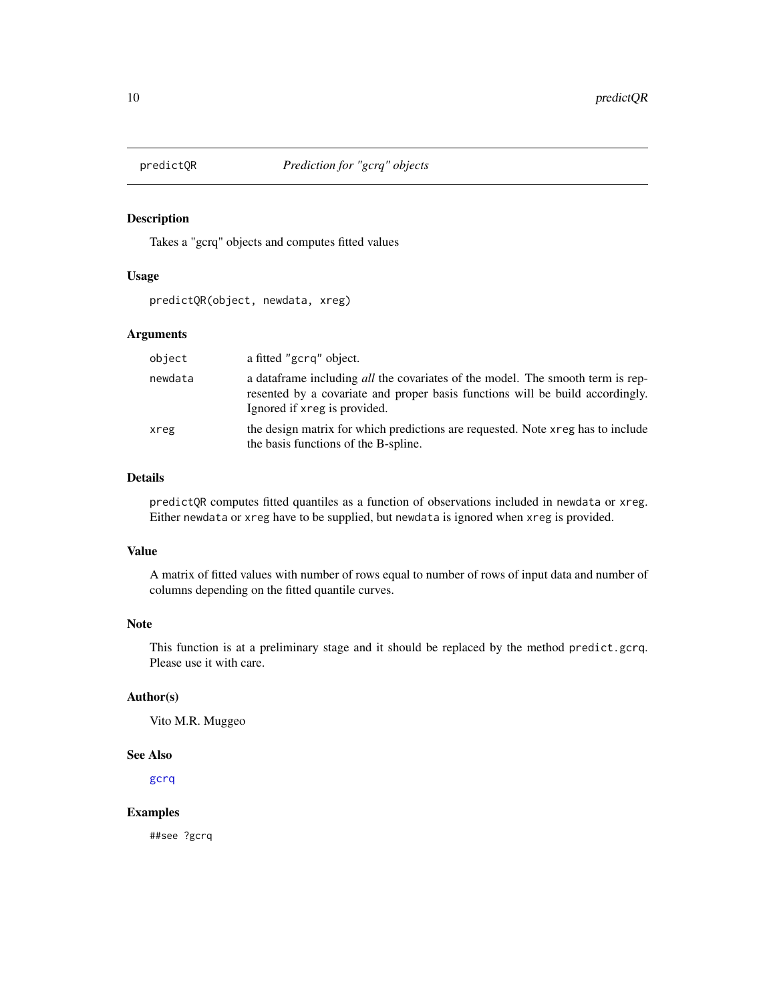<span id="page-9-0"></span>

Takes a "gcrq" objects and computes fitted values

### Usage

predictQR(object, newdata, xreg)

## Arguments

| object  | a fitted "gcrq" object.                                                                                                                                                                                 |
|---------|---------------------------------------------------------------------------------------------------------------------------------------------------------------------------------------------------------|
| newdata | a data frame including <i>all</i> the covariates of the model. The smooth term is rep-<br>resented by a covariate and proper basis functions will be build accordingly.<br>Ignored if xreg is provided. |
| xreg    | the design matrix for which predictions are requested. Note xreg has to include<br>the basis functions of the B-spline.                                                                                 |

#### Details

predictQR computes fitted quantiles as a function of observations included in newdata or xreg. Either newdata or xreg have to be supplied, but newdata is ignored when xreg is provided.

## Value

A matrix of fitted values with number of rows equal to number of rows of input data and number of columns depending on the fitted quantile curves.

## Note

This function is at a preliminary stage and it should be replaced by the method predict.gcrq. Please use it with care.

#### Author(s)

Vito M.R. Muggeo

#### See Also

[gcrq](#page-2-1)

## Examples

##see ?gcrq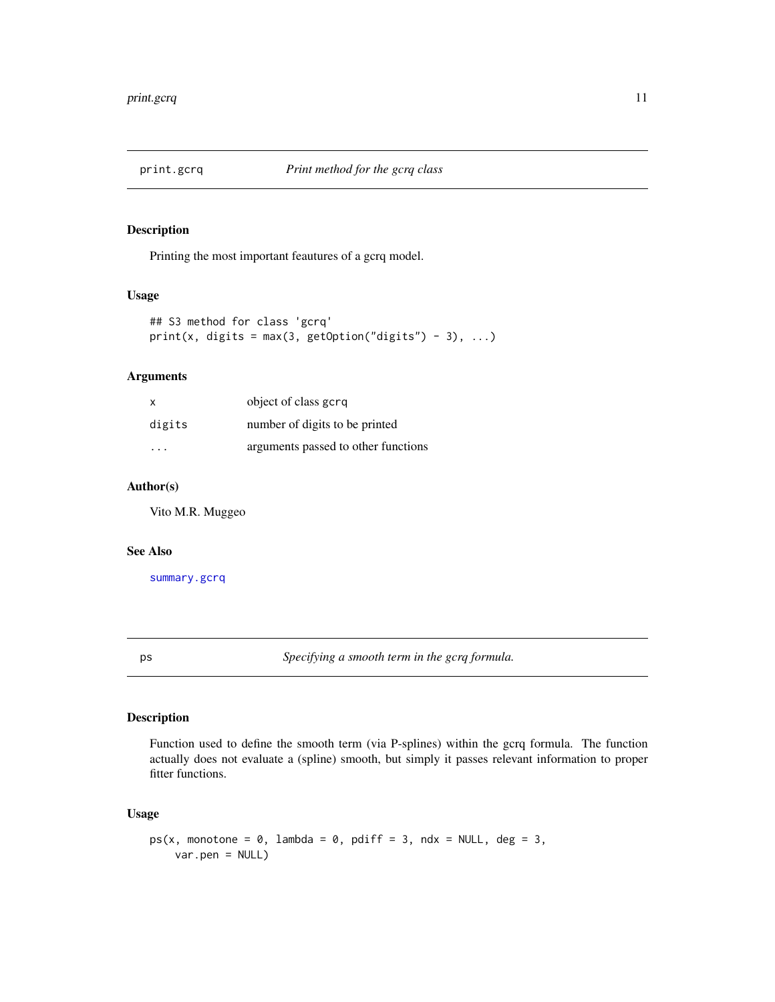<span id="page-10-0"></span>

Printing the most important feautures of a gcrq model.

#### Usage

```
## S3 method for class 'gcrq'
print(x, digits = max(3, getOption("digits") - 3), ...)
```
## Arguments

| X      | object of class gcrg                |
|--------|-------------------------------------|
| digits | number of digits to be printed      |
| .      | arguments passed to other functions |

## Author(s)

Vito M.R. Muggeo

#### See Also

[summary.gcrq](#page-12-1)

<span id="page-10-1"></span>ps *Specifying a smooth term in the gcrq formula.*

## Description

Function used to define the smooth term (via P-splines) within the gcrq formula. The function actually does not evaluate a (spline) smooth, but simply it passes relevant information to proper fitter functions.

## Usage

```
ps(x, \text{ monotone} = 0, \text{ lambda} = 0, \text{ pdf } f = 3, \text{ ndx} = \text{NULL}, \text{ deg} = 3,var.pen = NULL)
```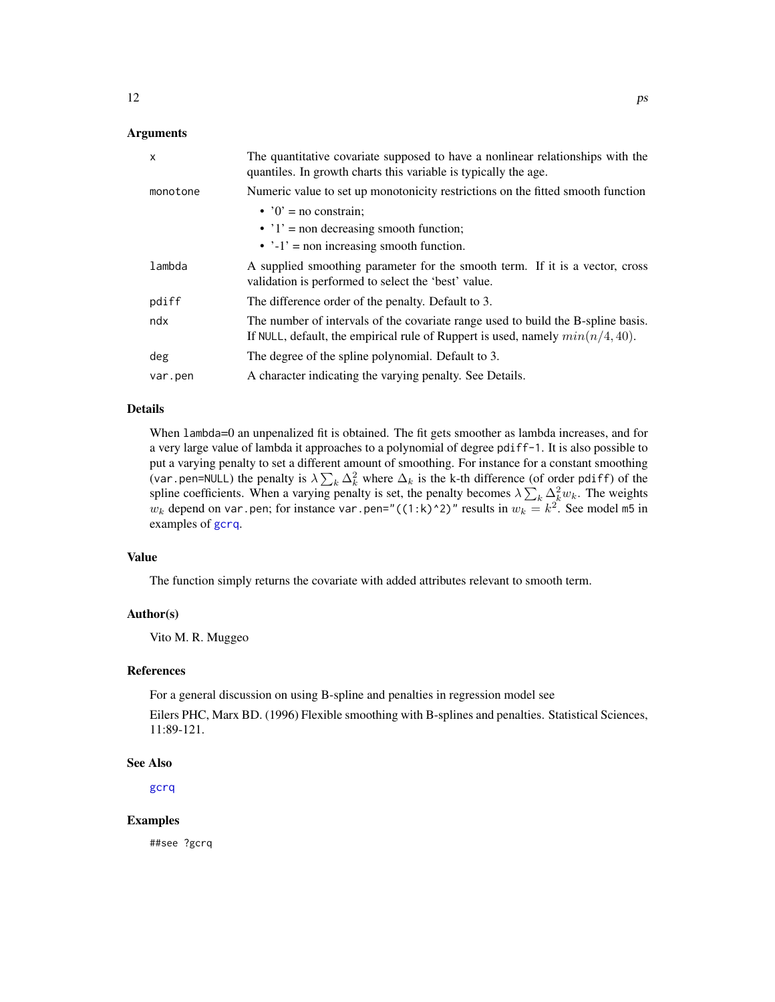## <span id="page-11-0"></span>Arguments

| $\mathsf{x}$ | The quantitative covariate supposed to have a nonlinear relationships with the<br>quantiles. In growth charts this variable is typically the age.                    |
|--------------|----------------------------------------------------------------------------------------------------------------------------------------------------------------------|
| monotone     | Numeric value to set up monotonicity restrictions on the fitted smooth function                                                                                      |
|              | $\cdot$ '0' = no constrain:                                                                                                                                          |
|              | $\cdot$ '1' = non decreasing smooth function;                                                                                                                        |
|              | $\cdot$ $\cdot$ -1' = non increasing smooth function.                                                                                                                |
| lambda       | A supplied smoothing parameter for the smooth term. If it is a vector, cross<br>validation is performed to select the 'best' value.                                  |
| pdiff        | The difference order of the penalty. Default to 3.                                                                                                                   |
| ndx          | The number of intervals of the covariate range used to build the B-spline basis.<br>If NULL, default, the empirical rule of Ruppert is used, namely $min(n/4, 40)$ . |
| deg          | The degree of the spline polynomial. Default to 3.                                                                                                                   |
| var.pen      | A character indicating the varying penalty. See Details.                                                                                                             |

## Details

When lambda=0 an unpenalized fit is obtained. The fit gets smoother as lambda increases, and for a very large value of lambda it approaches to a polynomial of degree pdiff-1. It is also possible to put a varying penalty to set a different amount of smoothing. For instance for a constant smoothing (var.pen=NULL) the penalty is  $\lambda \sum_k \Delta_k^2$  where  $\Delta_k$  is the k-th difference (of order pdiff) of the spline coefficients. When a varying penalty is set, the penalty becomes  $\lambda \sum_k \Delta_k^2 w_k$ . The weights  $w_k$  depend on var.pen; for instance var.pen="((1:k)^2)" results in  $w_k = k^2$ . See model m5 in examples of [gcrq](#page-2-1).

## Value

The function simply returns the covariate with added attributes relevant to smooth term.

#### Author(s)

Vito M. R. Muggeo

#### References

For a general discussion on using B-spline and penalties in regression model see

Eilers PHC, Marx BD. (1996) Flexible smoothing with B-splines and penalties. Statistical Sciences, 11:89-121.

#### See Also

[gcrq](#page-2-1)

#### Examples

##see ?gcrq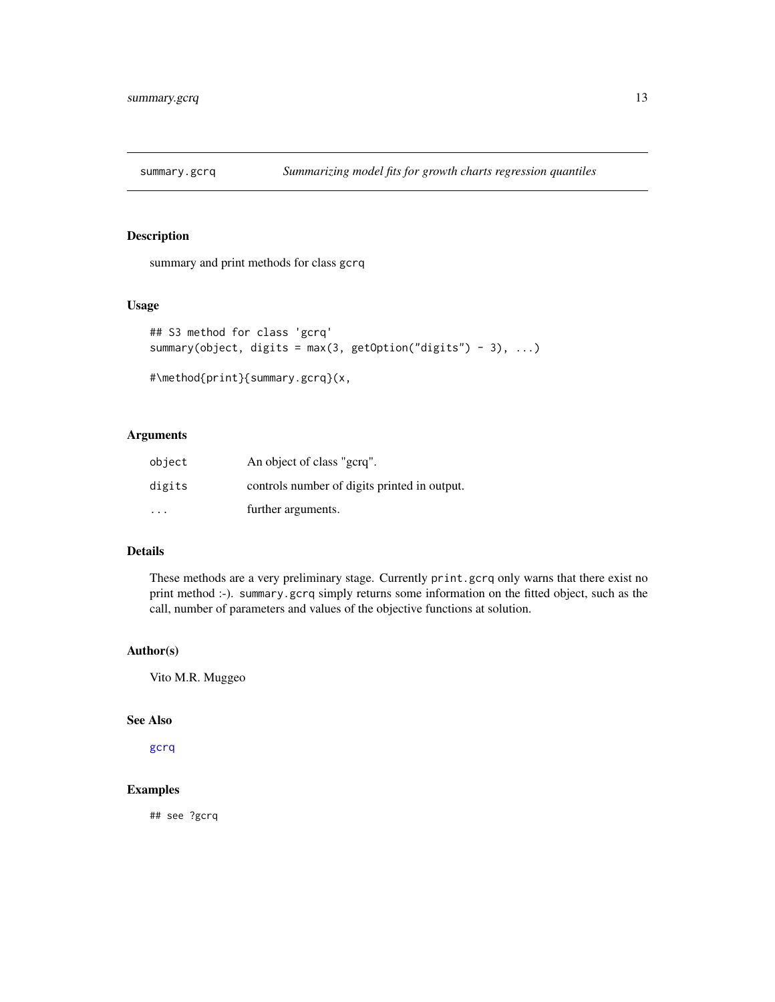<span id="page-12-1"></span><span id="page-12-0"></span>

summary and print methods for class gcrq

## Usage

```
## S3 method for class 'gcrq'
summary(object, digits = max(3, getOption("digits") - 3), \dots)
```

```
#\method{print}{summary.gcrq}(x,
```
## Arguments

| object  | An object of class "gcrq".                   |
|---------|----------------------------------------------|
| digits  | controls number of digits printed in output. |
| $\cdot$ | further arguments.                           |

## Details

These methods are a very preliminary stage. Currently print.gcrq only warns that there exist no print method :-). summary.gcrq simply returns some information on the fitted object, such as the call, number of parameters and values of the objective functions at solution.

#### Author(s)

Vito M.R. Muggeo

#### See Also

[gcrq](#page-2-1)

## Examples

## see ?gcrq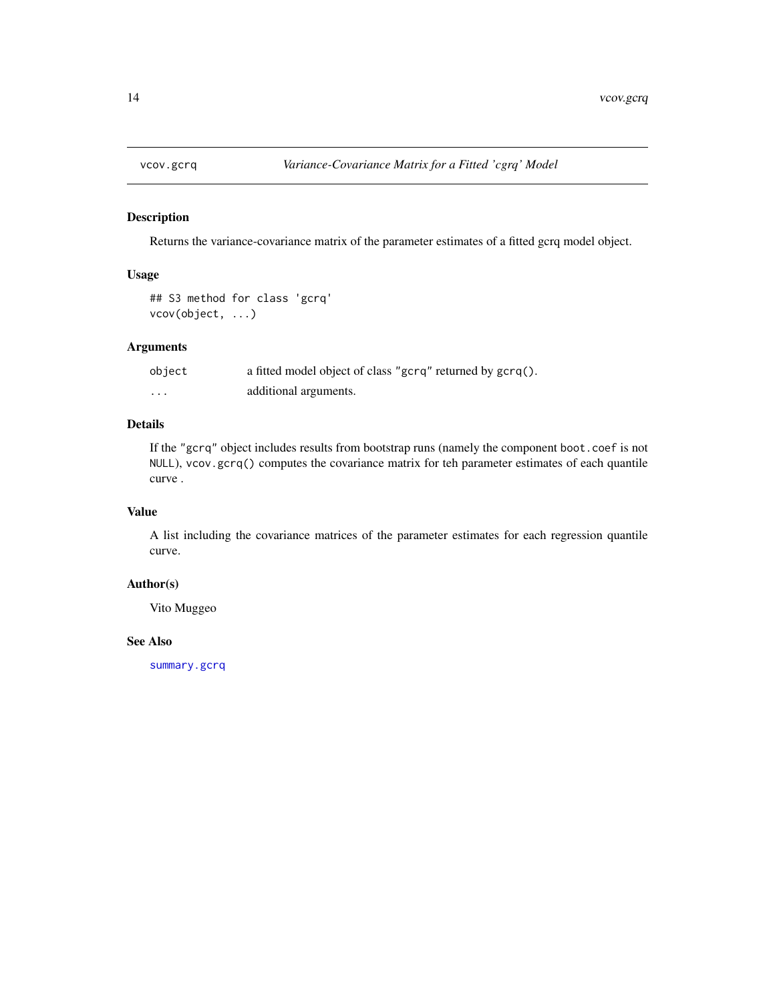<span id="page-13-0"></span>

Returns the variance-covariance matrix of the parameter estimates of a fitted gcrq model object.

## Usage

```
## S3 method for class 'gcrq'
vcov(object, ...)
```
## Arguments

| object | a fitted model object of class "gcrq" returned by gcrq(). |
|--------|-----------------------------------------------------------|
| .      | additional arguments.                                     |

## Details

If the "gcrq" object includes results from bootstrap runs (namely the component boot.coef is not NULL), vcov.gcrq() computes the covariance matrix for teh parameter estimates of each quantile curve .

#### Value

A list including the covariance matrices of the parameter estimates for each regression quantile curve.

## Author(s)

Vito Muggeo

#### See Also

[summary.gcrq](#page-12-1)